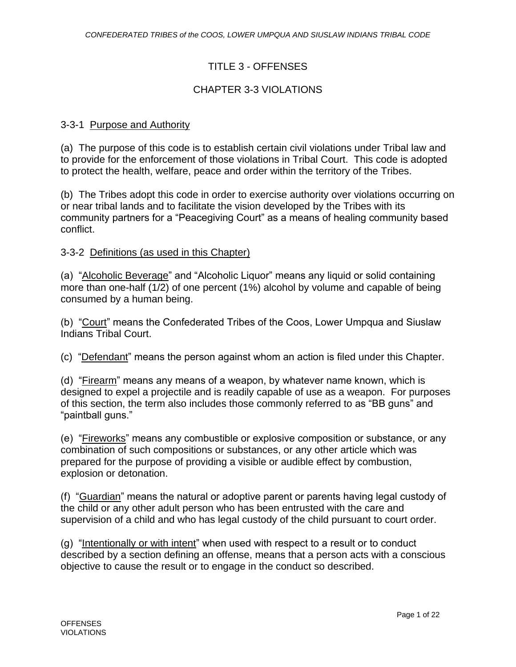# TITLE 3 - OFFENSES

## CHAPTER 3-3 VIOLATIONS

### 3-3-1 Purpose and Authority

(a) The purpose of this code is to establish certain civil violations under Tribal law and to provide for the enforcement of those violations in Tribal Court. This code is adopted to protect the health, welfare, peace and order within the territory of the Tribes.

(b) The Tribes adopt this code in order to exercise authority over violations occurring on or near tribal lands and to facilitate the vision developed by the Tribes with its community partners for a "Peacegiving Court" as a means of healing community based conflict.

### 3-3-2 Definitions (as used in this Chapter)

(a) "Alcoholic Beverage" and "Alcoholic Liquor" means any liquid or solid containing more than one-half (1/2) of one percent (1%) alcohol by volume and capable of being consumed by a human being.

(b) "Court" means the Confederated Tribes of the Coos, Lower Umpqua and Siuslaw Indians Tribal Court.

(c) "Defendant" means the person against whom an action is filed under this Chapter.

(d) "Firearm" means any means of a weapon, by whatever name known, which is designed to expel a projectile and is readily capable of use as a weapon. For purposes of this section, the term also includes those commonly referred to as "BB guns" and "paintball guns."

(e) "Fireworks" means any combustible or explosive composition or substance, or any combination of such compositions or substances, or any other article which was prepared for the purpose of providing a visible or audible effect by combustion, explosion or detonation.

(f) "Guardian" means the natural or adoptive parent or parents having legal custody of the child or any other adult person who has been entrusted with the care and supervision of a child and who has legal custody of the child pursuant to court order.

(g) "Intentionally or with intent" when used with respect to a result or to conduct described by a section defining an offense, means that a person acts with a conscious objective to cause the result or to engage in the conduct so described.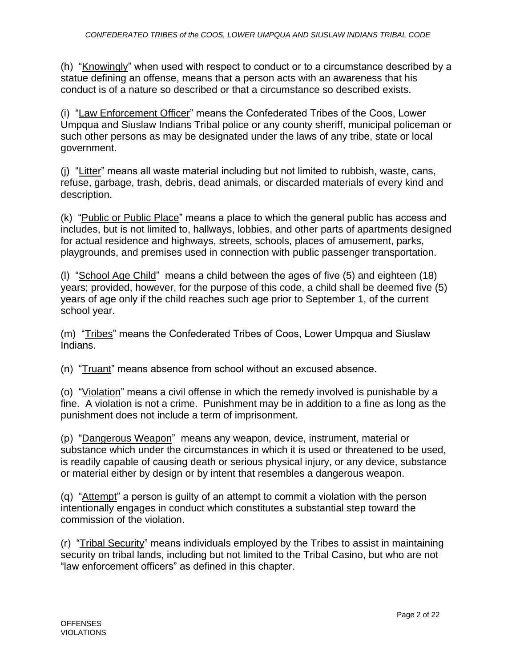(h) "Knowingly" when used with respect to conduct or to a circumstance described by a statue defining an offense, means that a person acts with an awareness that his conduct is of a nature so described or that a circumstance so described exists.

(i) "Law Enforcement Officer" means the Confederated Tribes of the Coos, Lower Umpqua and Siuslaw Indians Tribal police or any county sheriff, municipal policeman or such other persons as may be designated under the laws of any tribe, state or local government.

(j) "Litter" means all waste material including but not limited to rubbish, waste, cans, refuse, garbage, trash, debris, dead animals, or discarded materials of every kind and description.

(k) "Public or Public Place" means a place to which the general public has access and includes, but is not limited to, hallways, lobbies, and other parts of apartments designed for actual residence and highways, streets, schools, places of amusement, parks, playgrounds, and premises used in connection with public passenger transportation.

(l) "School Age Child" means a child between the ages of five (5) and eighteen (18) years; provided, however, for the purpose of this code, a child shall be deemed five (5) years of age only if the child reaches such age prior to September 1, of the current school year.

(m) "Tribes" means the Confederated Tribes of Coos, Lower Umpqua and Siuslaw Indians.

(n) "Truant" means absence from school without an excused absence.

(o) "Violation" means a civil offense in which the remedy involved is punishable by a fine. A violation is not a crime. Punishment may be in addition to a fine as long as the punishment does not include a term of imprisonment.

(p) "Dangerous Weapon" means any weapon, device, instrument, material or substance which under the circumstances in which it is used or threatened to be used, is readily capable of causing death or serious physical injury, or any device, substance or material either by design or by intent that resembles a dangerous weapon.

(q) "Attempt" a person is guilty of an attempt to commit a violation with the person intentionally engages in conduct which constitutes a substantial step toward the commission of the violation.

(r) "Tribal Security" means individuals employed by the Tribes to assist in maintaining security on tribal lands, including but not limited to the Tribal Casino, but who are not "law enforcement officers" as defined in this chapter.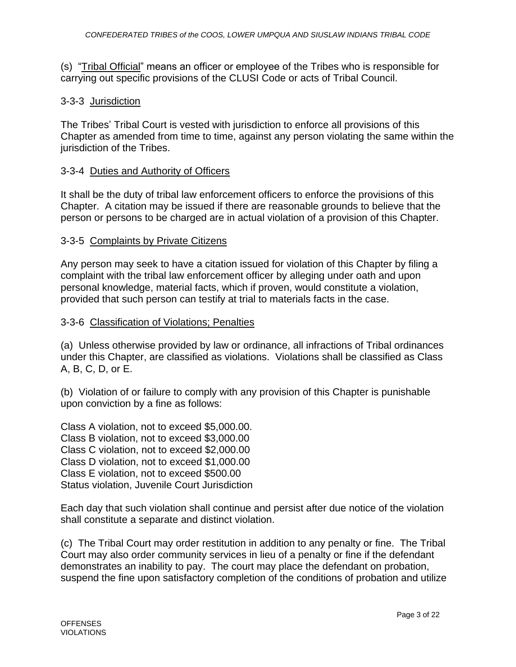(s) "Tribal Official" means an officer or employee of the Tribes who is responsible for carrying out specific provisions of the CLUSI Code or acts of Tribal Council.

### 3-3-3 Jurisdiction

The Tribes' Tribal Court is vested with jurisdiction to enforce all provisions of this Chapter as amended from time to time, against any person violating the same within the jurisdiction of the Tribes.

### 3-3-4 Duties and Authority of Officers

It shall be the duty of tribal law enforcement officers to enforce the provisions of this Chapter. A citation may be issued if there are reasonable grounds to believe that the person or persons to be charged are in actual violation of a provision of this Chapter.

### 3-3-5 Complaints by Private Citizens

Any person may seek to have a citation issued for violation of this Chapter by filing a complaint with the tribal law enforcement officer by alleging under oath and upon personal knowledge, material facts, which if proven, would constitute a violation, provided that such person can testify at trial to materials facts in the case.

### 3-3-6 Classification of Violations; Penalties

(a) Unless otherwise provided by law or ordinance, all infractions of Tribal ordinances under this Chapter, are classified as violations. Violations shall be classified as Class A, B, C, D, or E.

(b) Violation of or failure to comply with any provision of this Chapter is punishable upon conviction by a fine as follows:

Class A violation, not to exceed \$5,000.00. Class B violation, not to exceed \$3,000.00 Class C violation, not to exceed \$2,000.00 Class D violation, not to exceed \$1,000.00 Class E violation, not to exceed \$500.00 Status violation, Juvenile Court Jurisdiction

Each day that such violation shall continue and persist after due notice of the violation shall constitute a separate and distinct violation.

(c) The Tribal Court may order restitution in addition to any penalty or fine. The Tribal Court may also order community services in lieu of a penalty or fine if the defendant demonstrates an inability to pay. The court may place the defendant on probation, suspend the fine upon satisfactory completion of the conditions of probation and utilize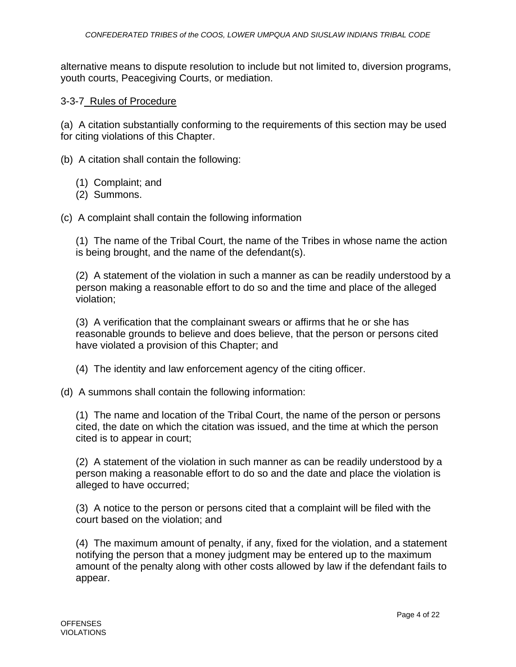alternative means to dispute resolution to include but not limited to, diversion programs, youth courts, Peacegiving Courts, or mediation.

### 3-3-7 Rules of Procedure

(a) A citation substantially conforming to the requirements of this section may be used for citing violations of this Chapter.

(b) A citation shall contain the following:

- (1) Complaint; and
- (2) Summons.

(c) A complaint shall contain the following information

(1) The name of the Tribal Court, the name of the Tribes in whose name the action is being brought, and the name of the defendant(s).

(2) A statement of the violation in such a manner as can be readily understood by a person making a reasonable effort to do so and the time and place of the alleged violation;

(3) A verification that the complainant swears or affirms that he or she has reasonable grounds to believe and does believe, that the person or persons cited have violated a provision of this Chapter; and

- (4) The identity and law enforcement agency of the citing officer.
- (d) A summons shall contain the following information:

(1) The name and location of the Tribal Court, the name of the person or persons cited, the date on which the citation was issued, and the time at which the person cited is to appear in court;

(2) A statement of the violation in such manner as can be readily understood by a person making a reasonable effort to do so and the date and place the violation is alleged to have occurred;

(3) A notice to the person or persons cited that a complaint will be filed with the court based on the violation; and

(4) The maximum amount of penalty, if any, fixed for the violation, and a statement notifying the person that a money judgment may be entered up to the maximum amount of the penalty along with other costs allowed by law if the defendant fails to appear.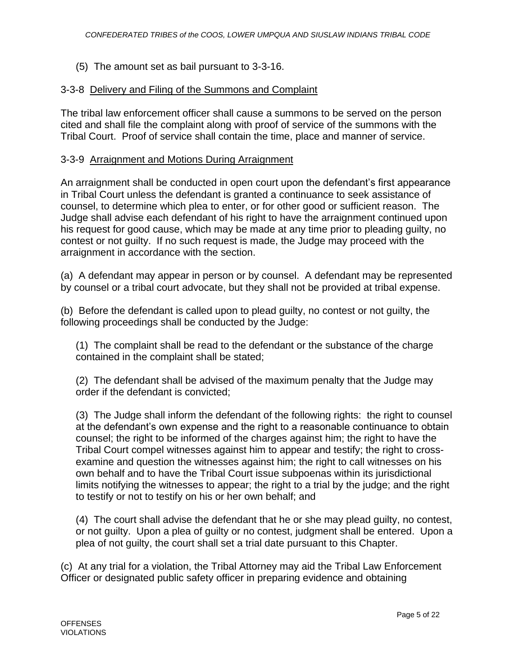(5) The amount set as bail pursuant to 3-3-16.

### 3-3-8 Delivery and Filing of the Summons and Complaint

The tribal law enforcement officer shall cause a summons to be served on the person cited and shall file the complaint along with proof of service of the summons with the Tribal Court. Proof of service shall contain the time, place and manner of service.

### 3-3-9 Arraignment and Motions During Arraignment

An arraignment shall be conducted in open court upon the defendant's first appearance in Tribal Court unless the defendant is granted a continuance to seek assistance of counsel, to determine which plea to enter, or for other good or sufficient reason. The Judge shall advise each defendant of his right to have the arraignment continued upon his request for good cause, which may be made at any time prior to pleading guilty, no contest or not guilty. If no such request is made, the Judge may proceed with the arraignment in accordance with the section.

(a) A defendant may appear in person or by counsel. A defendant may be represented by counsel or a tribal court advocate, but they shall not be provided at tribal expense.

(b) Before the defendant is called upon to plead guilty, no contest or not guilty, the following proceedings shall be conducted by the Judge:

(1) The complaint shall be read to the defendant or the substance of the charge contained in the complaint shall be stated;

(2) The defendant shall be advised of the maximum penalty that the Judge may order if the defendant is convicted;

(3) The Judge shall inform the defendant of the following rights: the right to counsel at the defendant's own expense and the right to a reasonable continuance to obtain counsel; the right to be informed of the charges against him; the right to have the Tribal Court compel witnesses against him to appear and testify; the right to crossexamine and question the witnesses against him; the right to call witnesses on his own behalf and to have the Tribal Court issue subpoenas within its jurisdictional limits notifying the witnesses to appear; the right to a trial by the judge; and the right to testify or not to testify on his or her own behalf; and

(4) The court shall advise the defendant that he or she may plead guilty, no contest, or not guilty. Upon a plea of guilty or no contest, judgment shall be entered. Upon a plea of not guilty, the court shall set a trial date pursuant to this Chapter.

(c) At any trial for a violation, the Tribal Attorney may aid the Tribal Law Enforcement Officer or designated public safety officer in preparing evidence and obtaining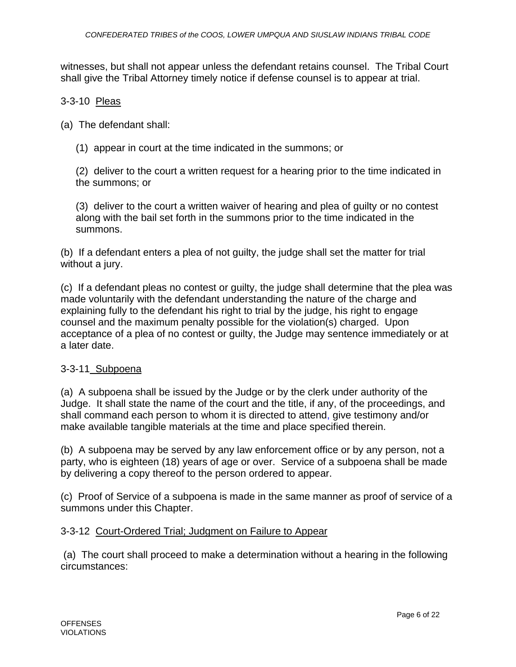witnesses, but shall not appear unless the defendant retains counsel. The Tribal Court shall give the Tribal Attorney timely notice if defense counsel is to appear at trial.

### 3-3-10 Pleas

(a) The defendant shall:

(1) appear in court at the time indicated in the summons; or

(2) deliver to the court a written request for a hearing prior to the time indicated in the summons; or

(3) deliver to the court a written waiver of hearing and plea of guilty or no contest along with the bail set forth in the summons prior to the time indicated in the summons.

(b) If a defendant enters a plea of not guilty, the judge shall set the matter for trial without a jury.

(c) If a defendant pleas no contest or guilty, the judge shall determine that the plea was made voluntarily with the defendant understanding the nature of the charge and explaining fully to the defendant his right to trial by the judge, his right to engage counsel and the maximum penalty possible for the violation(s) charged. Upon acceptance of a plea of no contest or guilty, the Judge may sentence immediately or at a later date.

#### 3-3-11 Subpoena

(a) A subpoena shall be issued by the Judge or by the clerk under authority of the Judge. It shall state the name of the court and the title, if any, of the proceedings, and shall command each person to whom it is directed to attend, give testimony and/or make available tangible materials at the time and place specified therein.

(b) A subpoena may be served by any law enforcement office or by any person, not a party, who is eighteen (18) years of age or over. Service of a subpoena shall be made by delivering a copy thereof to the person ordered to appear.

(c) Proof of Service of a subpoena is made in the same manner as proof of service of a summons under this Chapter.

#### 3-3-12 Court-Ordered Trial; Judgment on Failure to Appear

(a) The court shall proceed to make a determination without a hearing in the following circumstances: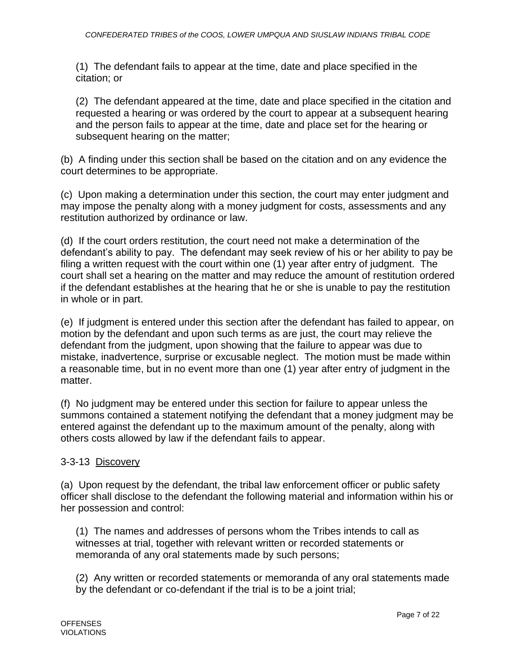(1) The defendant fails to appear at the time, date and place specified in the citation; or

(2) The defendant appeared at the time, date and place specified in the citation and requested a hearing or was ordered by the court to appear at a subsequent hearing and the person fails to appear at the time, date and place set for the hearing or subsequent hearing on the matter;

(b) A finding under this section shall be based on the citation and on any evidence the court determines to be appropriate.

(c) Upon making a determination under this section, the court may enter judgment and may impose the penalty along with a money judgment for costs, assessments and any restitution authorized by ordinance or law.

(d) If the court orders restitution, the court need not make a determination of the defendant's ability to pay. The defendant may seek review of his or her ability to pay be filing a written request with the court within one (1) year after entry of judgment. The court shall set a hearing on the matter and may reduce the amount of restitution ordered if the defendant establishes at the hearing that he or she is unable to pay the restitution in whole or in part.

(e) If judgment is entered under this section after the defendant has failed to appear, on motion by the defendant and upon such terms as are just, the court may relieve the defendant from the judgment, upon showing that the failure to appear was due to mistake, inadvertence, surprise or excusable neglect. The motion must be made within a reasonable time, but in no event more than one (1) year after entry of judgment in the matter.

(f) No judgment may be entered under this section for failure to appear unless the summons contained a statement notifying the defendant that a money judgment may be entered against the defendant up to the maximum amount of the penalty, along with others costs allowed by law if the defendant fails to appear.

### 3-3-13 Discovery

(a) Upon request by the defendant, the tribal law enforcement officer or public safety officer shall disclose to the defendant the following material and information within his or her possession and control:

(1) The names and addresses of persons whom the Tribes intends to call as witnesses at trial, together with relevant written or recorded statements or memoranda of any oral statements made by such persons;

(2) Any written or recorded statements or memoranda of any oral statements made by the defendant or co-defendant if the trial is to be a joint trial;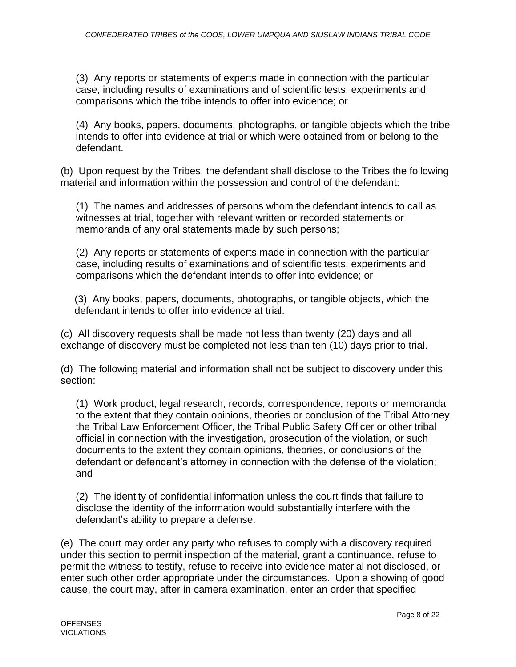(3) Any reports or statements of experts made in connection with the particular case, including results of examinations and of scientific tests, experiments and comparisons which the tribe intends to offer into evidence; or

(4) Any books, papers, documents, photographs, or tangible objects which the tribe intends to offer into evidence at trial or which were obtained from or belong to the defendant.

(b) Upon request by the Tribes, the defendant shall disclose to the Tribes the following material and information within the possession and control of the defendant:

(1) The names and addresses of persons whom the defendant intends to call as witnesses at trial, together with relevant written or recorded statements or memoranda of any oral statements made by such persons;

(2) Any reports or statements of experts made in connection with the particular case, including results of examinations and of scientific tests, experiments and comparisons which the defendant intends to offer into evidence; or

(3) Any books, papers, documents, photographs, or tangible objects, which the defendant intends to offer into evidence at trial.

(c) All discovery requests shall be made not less than twenty (20) days and all exchange of discovery must be completed not less than ten (10) days prior to trial.

(d) The following material and information shall not be subject to discovery under this section:

(1) Work product, legal research, records, correspondence, reports or memoranda to the extent that they contain opinions, theories or conclusion of the Tribal Attorney, the Tribal Law Enforcement Officer, the Tribal Public Safety Officer or other tribal official in connection with the investigation, prosecution of the violation, or such documents to the extent they contain opinions, theories, or conclusions of the defendant or defendant's attorney in connection with the defense of the violation; and

(2) The identity of confidential information unless the court finds that failure to disclose the identity of the information would substantially interfere with the defendant's ability to prepare a defense.

(e) The court may order any party who refuses to comply with a discovery required under this section to permit inspection of the material, grant a continuance, refuse to permit the witness to testify, refuse to receive into evidence material not disclosed, or enter such other order appropriate under the circumstances. Upon a showing of good cause, the court may, after in camera examination, enter an order that specified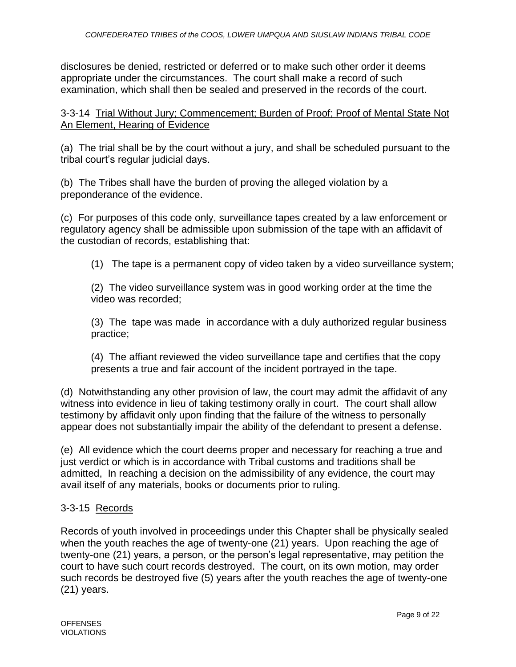disclosures be denied, restricted or deferred or to make such other order it deems appropriate under the circumstances. The court shall make a record of such examination, which shall then be sealed and preserved in the records of the court.

3-3-14 Trial Without Jury; Commencement; Burden of Proof; Proof of Mental State Not An Element, Hearing of Evidence

(a) The trial shall be by the court without a jury, and shall be scheduled pursuant to the tribal court's regular judicial days.

(b) The Tribes shall have the burden of proving the alleged violation by a preponderance of the evidence.

(c) For purposes of this code only, surveillance tapes created by a law enforcement or regulatory agency shall be admissible upon submission of the tape with an affidavit of the custodian of records, establishing that:

(1) The tape is a permanent copy of video taken by a video surveillance system;

(2) The video surveillance system was in good working order at the time the video was recorded;

(3) The tape was made in accordance with a duly authorized regular business practice;

(4) The affiant reviewed the video surveillance tape and certifies that the copy presents a true and fair account of the incident portrayed in the tape.

(d) Notwithstanding any other provision of law, the court may admit the affidavit of any witness into evidence in lieu of taking testimony orally in court. The court shall allow testimony by affidavit only upon finding that the failure of the witness to personally appear does not substantially impair the ability of the defendant to present a defense.

(e) All evidence which the court deems proper and necessary for reaching a true and just verdict or which is in accordance with Tribal customs and traditions shall be admitted, In reaching a decision on the admissibility of any evidence, the court may avail itself of any materials, books or documents prior to ruling.

# 3-3-15 Records

Records of youth involved in proceedings under this Chapter shall be physically sealed when the youth reaches the age of twenty-one (21) years. Upon reaching the age of twenty-one (21) years, a person, or the person's legal representative, may petition the court to have such court records destroyed. The court, on its own motion, may order such records be destroyed five (5) years after the youth reaches the age of twenty-one (21) years.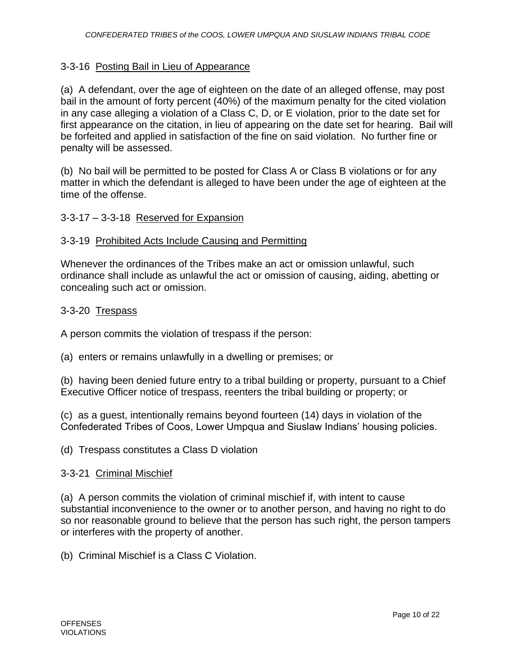### 3-3-16 Posting Bail in Lieu of Appearance

(a) A defendant, over the age of eighteen on the date of an alleged offense, may post bail in the amount of forty percent (40%) of the maximum penalty for the cited violation in any case alleging a violation of a Class C, D, or E violation, prior to the date set for first appearance on the citation, in lieu of appearing on the date set for hearing. Bail will be forfeited and applied in satisfaction of the fine on said violation. No further fine or penalty will be assessed.

(b) No bail will be permitted to be posted for Class A or Class B violations or for any matter in which the defendant is alleged to have been under the age of eighteen at the time of the offense.

### 3-3-17 – 3-3-18 Reserved for Expansion

### 3-3-19 Prohibited Acts Include Causing and Permitting

Whenever the ordinances of the Tribes make an act or omission unlawful, such ordinance shall include as unlawful the act or omission of causing, aiding, abetting or concealing such act or omission.

### 3-3-20 Trespass

A person commits the violation of trespass if the person:

(a) enters or remains unlawfully in a dwelling or premises; or

(b) having been denied future entry to a tribal building or property, pursuant to a Chief Executive Officer notice of trespass, reenters the tribal building or property; or

(c) as a guest, intentionally remains beyond fourteen (14) days in violation of the Confederated Tribes of Coos, Lower Umpqua and Siuslaw Indians' housing policies.

(d) Trespass constitutes a Class D violation

#### 3-3-21 Criminal Mischief

(a) A person commits the violation of criminal mischief if, with intent to cause substantial inconvenience to the owner or to another person, and having no right to do so nor reasonable ground to believe that the person has such right, the person tampers or interferes with the property of another.

(b) Criminal Mischief is a Class C Violation.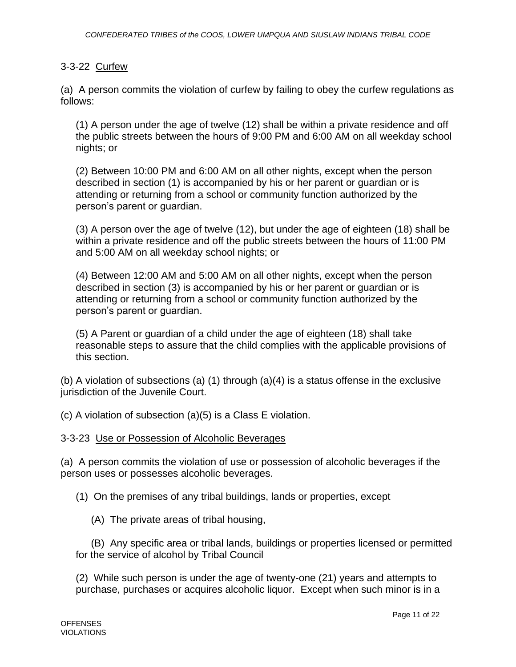### 3-3-22 Curfew

(a) A person commits the violation of curfew by failing to obey the curfew regulations as follows:

(1) A person under the age of twelve (12) shall be within a private residence and off the public streets between the hours of 9:00 PM and 6:00 AM on all weekday school nights; or

(2) Between 10:00 PM and 6:00 AM on all other nights, except when the person described in section (1) is accompanied by his or her parent or guardian or is attending or returning from a school or community function authorized by the person's parent or guardian.

(3) A person over the age of twelve (12), but under the age of eighteen (18) shall be within a private residence and off the public streets between the hours of 11:00 PM and 5:00 AM on all weekday school nights; or

(4) Between 12:00 AM and 5:00 AM on all other nights, except when the person described in section (3) is accompanied by his or her parent or guardian or is attending or returning from a school or community function authorized by the person's parent or guardian.

(5) A Parent or guardian of a child under the age of eighteen (18) shall take reasonable steps to assure that the child complies with the applicable provisions of this section.

(b) A violation of subsections (a) (1) through (a)(4) is a status offense in the exclusive jurisdiction of the Juvenile Court.

(c) A violation of subsection (a)(5) is a Class E violation.

#### 3-3-23 Use or Possession of Alcoholic Beverages

(a) A person commits the violation of use or possession of alcoholic beverages if the person uses or possesses alcoholic beverages.

(1) On the premises of any tribal buildings, lands or properties, except

(A) The private areas of tribal housing,

(B) Any specific area or tribal lands, buildings or properties licensed or permitted for the service of alcohol by Tribal Council

(2) While such person is under the age of twenty-one (21) years and attempts to purchase, purchases or acquires alcoholic liquor. Except when such minor is in a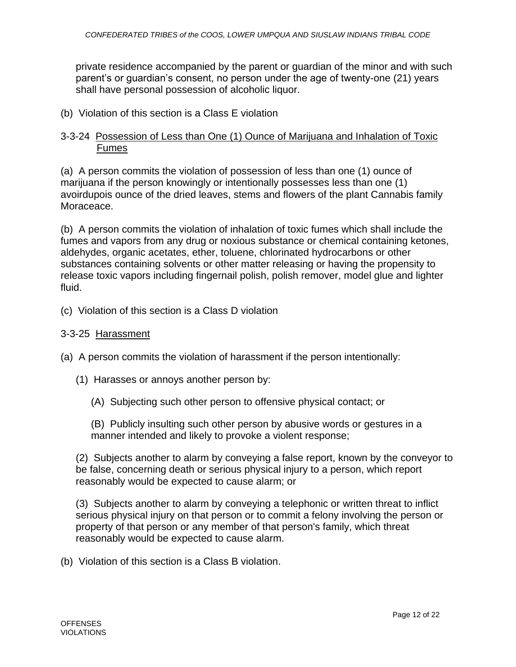private residence accompanied by the parent or guardian of the minor and with such parent's or guardian's consent, no person under the age of twenty-one (21) years shall have personal possession of alcoholic liquor.

(b) Violation of this section is a Class E violation

### 3-3-24 Possession of Less than One (1) Ounce of Marijuana and Inhalation of Toxic Fumes

(a) A person commits the violation of possession of less than one (1) ounce of marijuana if the person knowingly or intentionally possesses less than one (1) avoirdupois ounce of the dried leaves, stems and flowers of the plant Cannabis family Moraceace.

(b) A person commits the violation of inhalation of toxic fumes which shall include the fumes and vapors from any drug or noxious substance or chemical containing ketones, aldehydes, organic acetates, ether, toluene, chlorinated hydrocarbons or other substances containing solvents or other matter releasing or having the propensity to release toxic vapors including fingernail polish, polish remover, model glue and lighter fluid.

(c) Violation of this section is a Class D violation

#### 3-3-25 Harassment

(a) A person commits the violation of harassment if the person intentionally:

- (1) Harasses or annoys another person by:
	- (A) Subjecting such other person to offensive physical contact; or

(B) Publicly insulting such other person by abusive words or gestures in a manner intended and likely to provoke a violent response;

(2) Subjects another to alarm by conveying a false report, known by the conveyor to be false, concerning death or serious physical injury to a person, which report reasonably would be expected to cause alarm; or

(3) Subjects another to alarm by conveying a telephonic or written threat to inflict serious physical injury on that person or to commit a felony involving the person or property of that person or any member of that person's family, which threat reasonably would be expected to cause alarm.

(b) Violation of this section is a Class B violation.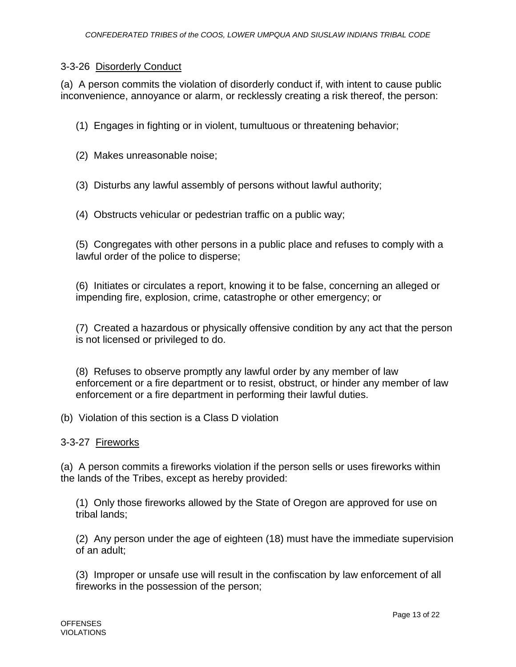### 3-3-26 Disorderly Conduct

(a) A person commits the violation of disorderly conduct if, with intent to cause public inconvenience, annoyance or alarm, or recklessly creating a risk thereof, the person:

(1) Engages in fighting or in violent, tumultuous or threatening behavior;

(2) Makes unreasonable noise;

(3) Disturbs any lawful assembly of persons without lawful authority;

(4) Obstructs vehicular or pedestrian traffic on a public way;

(5) Congregates with other persons in a public place and refuses to comply with a lawful order of the police to disperse;

(6) Initiates or circulates a report, knowing it to be false, concerning an alleged or impending fire, explosion, crime, catastrophe or other emergency; or

(7) Created a hazardous or physically offensive condition by any act that the person is not licensed or privileged to do.

(8) Refuses to observe promptly any lawful order by any member of law enforcement or a fire department or to resist, obstruct, or hinder any member of law enforcement or a fire department in performing their lawful duties.

(b) Violation of this section is a Class D violation

3-3-27 Fireworks

(a) A person commits a fireworks violation if the person sells or uses fireworks within the lands of the Tribes, except as hereby provided:

(1) Only those fireworks allowed by the State of Oregon are approved for use on tribal lands;

(2) Any person under the age of eighteen (18) must have the immediate supervision of an adult;

(3) Improper or unsafe use will result in the confiscation by law enforcement of all fireworks in the possession of the person;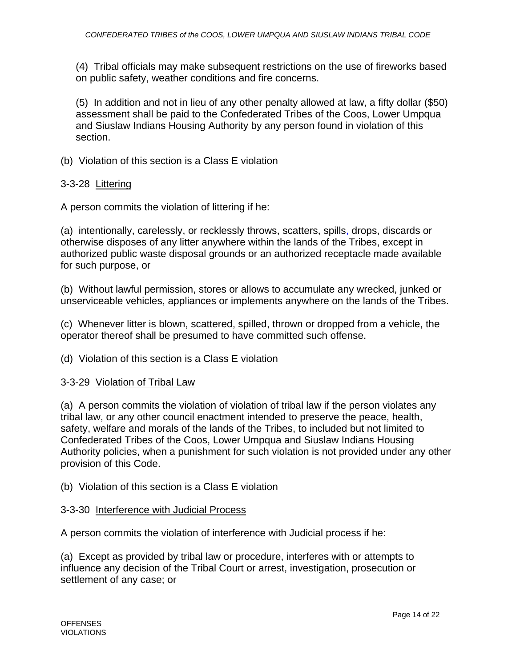(4) Tribal officials may make subsequent restrictions on the use of fireworks based on public safety, weather conditions and fire concerns.

(5) In addition and not in lieu of any other penalty allowed at law, a fifty dollar (\$50) assessment shall be paid to the Confederated Tribes of the Coos, Lower Umpqua and Siuslaw Indians Housing Authority by any person found in violation of this section.

(b) Violation of this section is a Class E violation

#### 3-3-28 Littering

A person commits the violation of littering if he:

(a) intentionally, carelessly, or recklessly throws, scatters, spills, drops, discards or otherwise disposes of any litter anywhere within the lands of the Tribes, except in authorized public waste disposal grounds or an authorized receptacle made available for such purpose, or

(b) Without lawful permission, stores or allows to accumulate any wrecked, junked or unserviceable vehicles, appliances or implements anywhere on the lands of the Tribes.

(c) Whenever litter is blown, scattered, spilled, thrown or dropped from a vehicle, the operator thereof shall be presumed to have committed such offense.

(d) Violation of this section is a Class E violation

#### 3-3-29 Violation of Tribal Law

(a) A person commits the violation of violation of tribal law if the person violates any tribal law, or any other council enactment intended to preserve the peace, health, safety, welfare and morals of the lands of the Tribes, to included but not limited to Confederated Tribes of the Coos, Lower Umpqua and Siuslaw Indians Housing Authority policies, when a punishment for such violation is not provided under any other provision of this Code.

(b) Violation of this section is a Class E violation

#### 3-3-30 Interference with Judicial Process

A person commits the violation of interference with Judicial process if he:

(a) Except as provided by tribal law or procedure, interferes with or attempts to influence any decision of the Tribal Court or arrest, investigation, prosecution or settlement of any case; or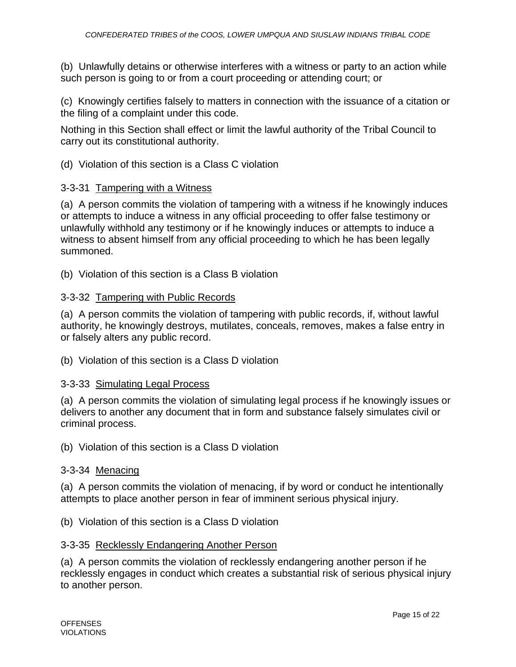(b) Unlawfully detains or otherwise interferes with a witness or party to an action while such person is going to or from a court proceeding or attending court; or

(c) Knowingly certifies falsely to matters in connection with the issuance of a citation or the filing of a complaint under this code.

Nothing in this Section shall effect or limit the lawful authority of the Tribal Council to carry out its constitutional authority.

(d) Violation of this section is a Class C violation

### 3-3-31 Tampering with a Witness

(a) A person commits the violation of tampering with a witness if he knowingly induces or attempts to induce a witness in any official proceeding to offer false testimony or unlawfully withhold any testimony or if he knowingly induces or attempts to induce a witness to absent himself from any official proceeding to which he has been legally summoned.

(b) Violation of this section is a Class B violation

### 3-3-32 Tampering with Public Records

(a) A person commits the violation of tampering with public records, if, without lawful authority, he knowingly destroys, mutilates, conceals, removes, makes a false entry in or falsely alters any public record.

(b) Violation of this section is a Class D violation

### 3-3-33 Simulating Legal Process

(a) A person commits the violation of simulating legal process if he knowingly issues or delivers to another any document that in form and substance falsely simulates civil or criminal process.

(b) Violation of this section is a Class D violation

#### 3-3-34 Menacing

(a) A person commits the violation of menacing, if by word or conduct he intentionally attempts to place another person in fear of imminent serious physical injury.

(b) Violation of this section is a Class D violation

### 3-3-35 Recklessly Endangering Another Person

(a) A person commits the violation of recklessly endangering another person if he recklessly engages in conduct which creates a substantial risk of serious physical injury to another person.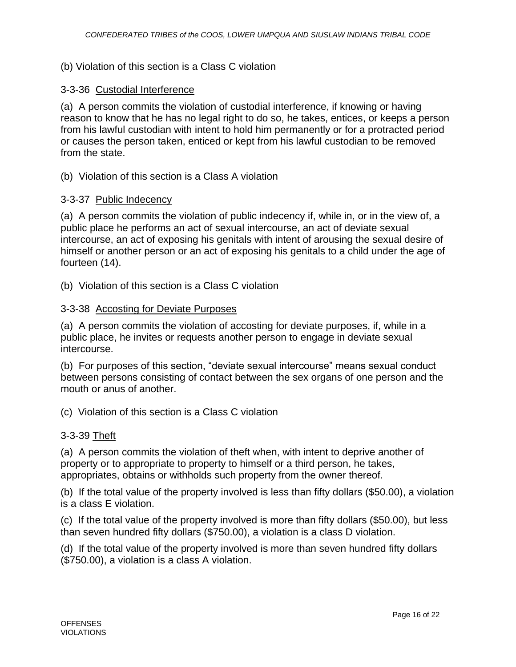#### (b) Violation of this section is a Class C violation

#### 3-3-36 Custodial Interference

(a) A person commits the violation of custodial interference, if knowing or having reason to know that he has no legal right to do so, he takes, entices, or keeps a person from his lawful custodian with intent to hold him permanently or for a protracted period or causes the person taken, enticed or kept from his lawful custodian to be removed from the state.

(b) Violation of this section is a Class A violation

### 3-3-37 Public Indecency

(a) A person commits the violation of public indecency if, while in, or in the view of, a public place he performs an act of sexual intercourse, an act of deviate sexual intercourse, an act of exposing his genitals with intent of arousing the sexual desire of himself or another person or an act of exposing his genitals to a child under the age of fourteen (14).

(b) Violation of this section is a Class C violation

#### 3-3-38 Accosting for Deviate Purposes

(a) A person commits the violation of accosting for deviate purposes, if, while in a public place, he invites or requests another person to engage in deviate sexual intercourse.

(b) For purposes of this section, "deviate sexual intercourse" means sexual conduct between persons consisting of contact between the sex organs of one person and the mouth or anus of another.

(c) Violation of this section is a Class C violation

#### 3-3-39 Theft

(a) A person commits the violation of theft when, with intent to deprive another of property or to appropriate to property to himself or a third person, he takes, appropriates, obtains or withholds such property from the owner thereof.

(b) If the total value of the property involved is less than fifty dollars (\$50.00), a violation is a class E violation.

(c) If the total value of the property involved is more than fifty dollars (\$50.00), but less than seven hundred fifty dollars (\$750.00), a violation is a class D violation.

(d) If the total value of the property involved is more than seven hundred fifty dollars (\$750.00), a violation is a class A violation.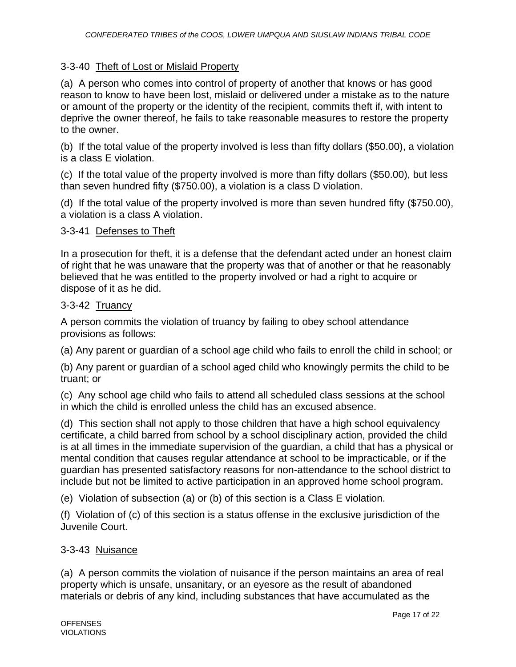### 3-3-40 Theft of Lost or Mislaid Property

(a) A person who comes into control of property of another that knows or has good reason to know to have been lost, mislaid or delivered under a mistake as to the nature or amount of the property or the identity of the recipient, commits theft if, with intent to deprive the owner thereof, he fails to take reasonable measures to restore the property to the owner.

(b) If the total value of the property involved is less than fifty dollars (\$50.00), a violation is a class E violation.

(c) If the total value of the property involved is more than fifty dollars (\$50.00), but less than seven hundred fifty (\$750.00), a violation is a class D violation.

(d) If the total value of the property involved is more than seven hundred fifty (\$750.00), a violation is a class A violation.

### 3-3-41 Defenses to Theft

In a prosecution for theft, it is a defense that the defendant acted under an honest claim of right that he was unaware that the property was that of another or that he reasonably believed that he was entitled to the property involved or had a right to acquire or dispose of it as he did.

### 3-3-42 Truancy

A person commits the violation of truancy by failing to obey school attendance provisions as follows:

(a) Any parent or guardian of a school age child who fails to enroll the child in school; or

(b) Any parent or guardian of a school aged child who knowingly permits the child to be truant; or

(c) Any school age child who fails to attend all scheduled class sessions at the school in which the child is enrolled unless the child has an excused absence.

(d) This section shall not apply to those children that have a high school equivalency certificate, a child barred from school by a school disciplinary action, provided the child is at all times in the immediate supervision of the guardian, a child that has a physical or mental condition that causes regular attendance at school to be impracticable, or if the guardian has presented satisfactory reasons for non-attendance to the school district to include but not be limited to active participation in an approved home school program.

(e) Violation of subsection (a) or (b) of this section is a Class E violation.

(f) Violation of (c) of this section is a status offense in the exclusive jurisdiction of the Juvenile Court.

### 3-3-43 Nuisance

(a) A person commits the violation of nuisance if the person maintains an area of real property which is unsafe, unsanitary, or an eyesore as the result of abandoned materials or debris of any kind, including substances that have accumulated as the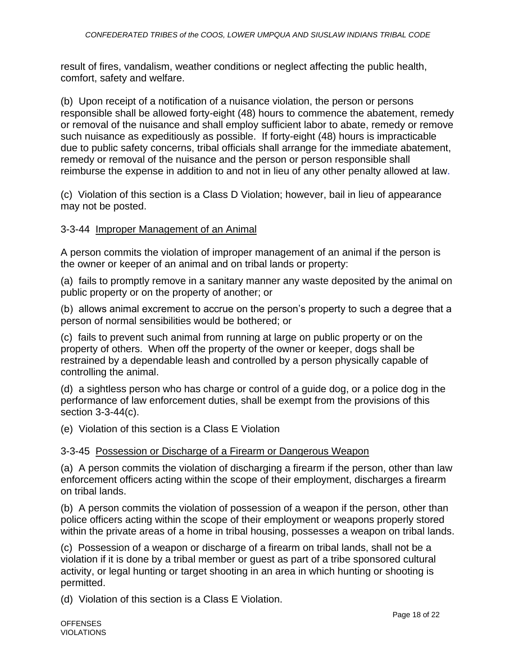result of fires, vandalism, weather conditions or neglect affecting the public health, comfort, safety and welfare.

(b) Upon receipt of a notification of a nuisance violation, the person or persons responsible shall be allowed forty-eight (48) hours to commence the abatement, remedy or removal of the nuisance and shall employ sufficient labor to abate, remedy or remove such nuisance as expeditiously as possible. If forty-eight (48) hours is impracticable due to public safety concerns, tribal officials shall arrange for the immediate abatement, remedy or removal of the nuisance and the person or person responsible shall reimburse the expense in addition to and not in lieu of any other penalty allowed at law.

(c) Violation of this section is a Class D Violation; however, bail in lieu of appearance may not be posted.

### 3-3-44 Improper Management of an Animal

A person commits the violation of improper management of an animal if the person is the owner or keeper of an animal and on tribal lands or property:

(a) fails to promptly remove in a sanitary manner any waste deposited by the animal on public property or on the property of another; or

(b) allows animal excrement to accrue on the person's property to such a degree that a person of normal sensibilities would be bothered; or

(c) fails to prevent such animal from running at large on public property or on the property of others. When off the property of the owner or keeper, dogs shall be restrained by a dependable leash and controlled by a person physically capable of controlling the animal.

(d) a sightless person who has charge or control of a guide dog, or a police dog in the performance of law enforcement duties, shall be exempt from the provisions of this section 3-3-44(c).

(e) Violation of this section is a Class E Violation

### 3-3-45 Possession or Discharge of a Firearm or Dangerous Weapon

(a) A person commits the violation of discharging a firearm if the person, other than law enforcement officers acting within the scope of their employment, discharges a firearm on tribal lands.

(b) A person commits the violation of possession of a weapon if the person, other than police officers acting within the scope of their employment or weapons properly stored within the private areas of a home in tribal housing, possesses a weapon on tribal lands.

(c) Possession of a weapon or discharge of a firearm on tribal lands, shall not be a violation if it is done by a tribal member or guest as part of a tribe sponsored cultural activity, or legal hunting or target shooting in an area in which hunting or shooting is permitted.

(d) Violation of this section is a Class E Violation.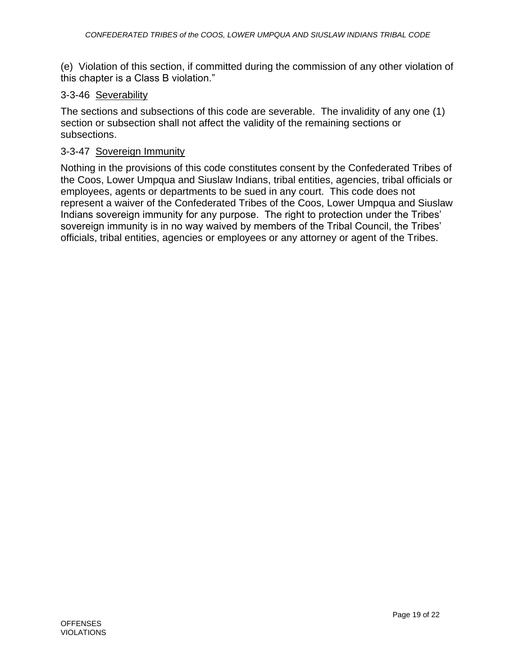(e) Violation of this section, if committed during the commission of any other violation of this chapter is a Class B violation."

### 3-3-46 Severability

The sections and subsections of this code are severable. The invalidity of any one (1) section or subsection shall not affect the validity of the remaining sections or subsections.

### 3-3-47 Sovereign Immunity

Nothing in the provisions of this code constitutes consent by the Confederated Tribes of the Coos, Lower Umpqua and Siuslaw Indians, tribal entities, agencies, tribal officials or employees, agents or departments to be sued in any court. This code does not represent a waiver of the Confederated Tribes of the Coos, Lower Umpqua and Siuslaw Indians sovereign immunity for any purpose. The right to protection under the Tribes' sovereign immunity is in no way waived by members of the Tribal Council, the Tribes' officials, tribal entities, agencies or employees or any attorney or agent of the Tribes.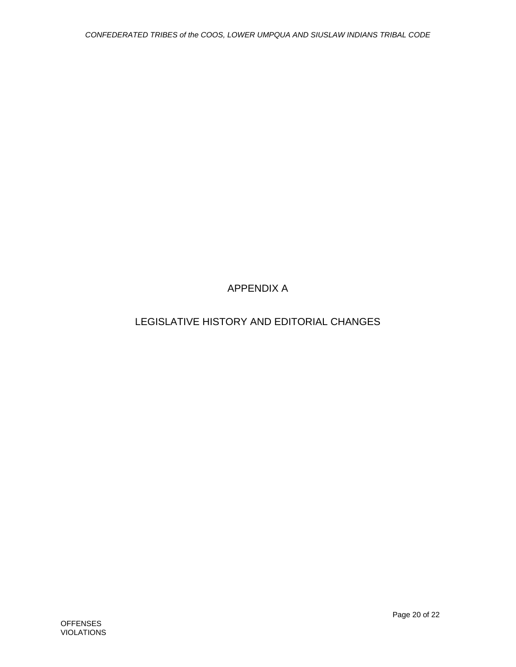# APPENDIX A

# LEGISLATIVE HISTORY AND EDITORIAL CHANGES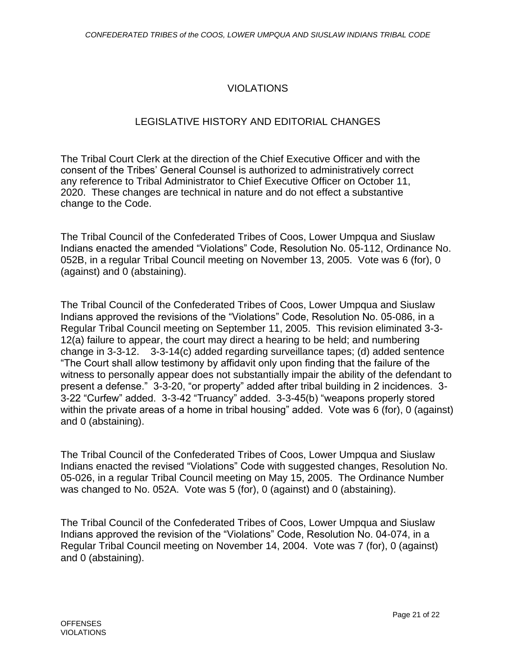# VIOLATIONS

## LEGISLATIVE HISTORY AND EDITORIAL CHANGES

The Tribal Court Clerk at the direction of the Chief Executive Officer and with the consent of the Tribes' General Counsel is authorized to administratively correct any reference to Tribal Administrator to Chief Executive Officer on October 11, 2020. These changes are technical in nature and do not effect a substantive change to the Code.

The Tribal Council of the Confederated Tribes of Coos, Lower Umpqua and Siuslaw Indians enacted the amended "Violations" Code, Resolution No. 05-112, Ordinance No. 052B, in a regular Tribal Council meeting on November 13, 2005. Vote was 6 (for), 0 (against) and 0 (abstaining).

The Tribal Council of the Confederated Tribes of Coos, Lower Umpqua and Siuslaw Indians approved the revisions of the "Violations" Code, Resolution No. 05-086, in a Regular Tribal Council meeting on September 11, 2005. This revision eliminated 3-3- 12(a) failure to appear, the court may direct a hearing to be held; and numbering change in 3-3-12. 3-3-14(c) added regarding surveillance tapes; (d) added sentence "The Court shall allow testimony by affidavit only upon finding that the failure of the witness to personally appear does not substantially impair the ability of the defendant to present a defense." 3-3-20, "or property" added after tribal building in 2 incidences. 3- 3-22 "Curfew" added. 3-3-42 "Truancy" added. 3-3-45(b) "weapons properly stored within the private areas of a home in tribal housing" added. Vote was 6 (for), 0 (against) and 0 (abstaining).

The Tribal Council of the Confederated Tribes of Coos, Lower Umpqua and Siuslaw Indians enacted the revised "Violations" Code with suggested changes, Resolution No. 05-026, in a regular Tribal Council meeting on May 15, 2005. The Ordinance Number was changed to No. 052A. Vote was 5 (for), 0 (against) and 0 (abstaining).

The Tribal Council of the Confederated Tribes of Coos, Lower Umpqua and Siuslaw Indians approved the revision of the "Violations" Code, Resolution No. 04-074, in a Regular Tribal Council meeting on November 14, 2004. Vote was 7 (for), 0 (against) and 0 (abstaining).